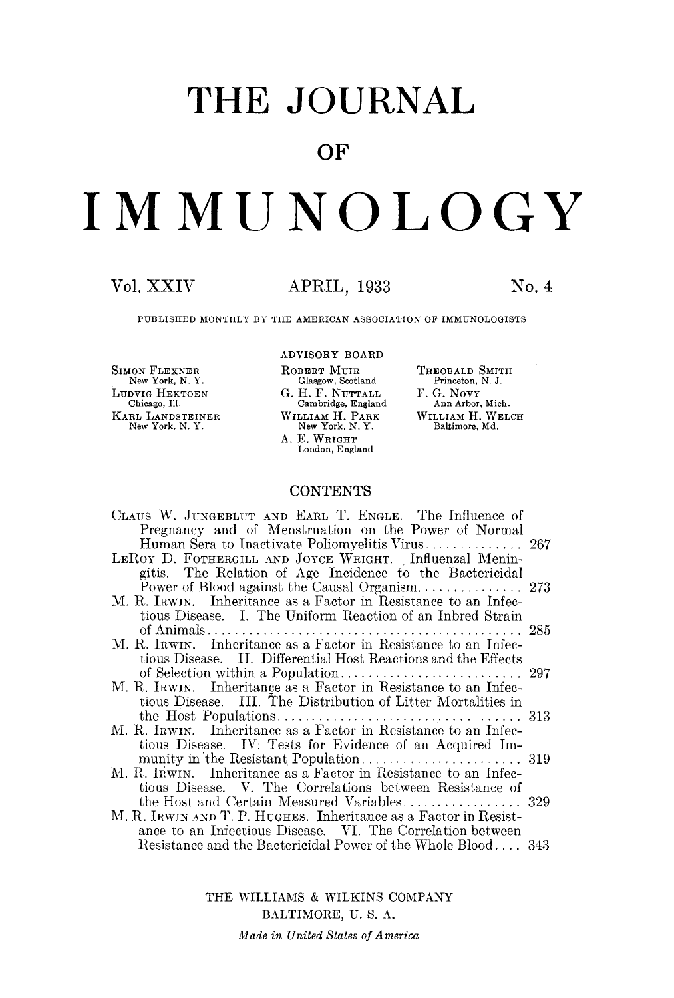# **THE JOURNAL**

### **OF**

# **IMMUNOLOGY**

#### Vol. XXIV APRIL, 1933 No. 4

PUBLISHED MONTHLY BY THE AMERICAN ASSOCIATION OF IMMUNOLOGISTS

SIMON FLEXNER New York, N. Y. LUDVIG HEKTOEN Chicago, Ill. KAaL LANDSTEINER New York, N. Y. ADVISORY BOARD ROBERT MUIR Glasgow, Scotland G. H. F. NUTTALL Cambridge, England WILLIAM H. PARK New York, N. Y. A. E. WRIGHT London, England

#### THEOBALD SMITH Princeton, N J. F. G. NovY Ann Arbor, Mich. WILLIAM H. WELCH Baltimore, Md.

#### **CONTENTS**

| CLAUS W. JUNGEBLUT AND EARL T. ENGLE. The Influence of           |  |
|------------------------------------------------------------------|--|
| Pregnancy and of Menstruation on the Power of Normal             |  |
|                                                                  |  |
| LEROY D. FOTHERGILL AND JOYCE WRIGHT. Influenzal Menin-          |  |
| gitis. The Relation of Age Incidence to the Bactericidal         |  |
|                                                                  |  |
| M. R. IRWIN. Inheritance as a Factor in Resistance to an Infec-  |  |
|                                                                  |  |
| tious Disease. I. The Uniform Reaction of an Inbred Strain       |  |
|                                                                  |  |
| M. R. IRWIN. Inheritance as a Factor in Resistance to an Infec-  |  |
| tious Disease. II. Differential Host Reactions and the Effects   |  |
|                                                                  |  |
| M. R. IRWIN. Inheritance as a Factor in Resistance to an Infec-  |  |
| tious Disease. III. The Distribution of Litter Mortalities in    |  |
|                                                                  |  |
| M. R. IRWIN. Inheritance as a Factor in Resistance to an Infec-  |  |
| tious Disease. IV: Tests for Evidence of an Acquired Im-         |  |
|                                                                  |  |
| M. R. IRWIN. Inheritance as a Factor in Resistance to an Infec-  |  |
| tious Disease. V. The Correlations between Resistance of         |  |
|                                                                  |  |
| M. R. IRWIN AND T. P. HUGHES. Inheritance as a Factor in Resist- |  |
|                                                                  |  |
| ance to an Infectious Disease. VI. The Correlation between       |  |
| Resistance and the Bactericidal Power of the Whole Blood 343     |  |

THE WILLIAMS & WILKINS COMPANY BALTIMORE, U. S. A. *Made in United States of America*